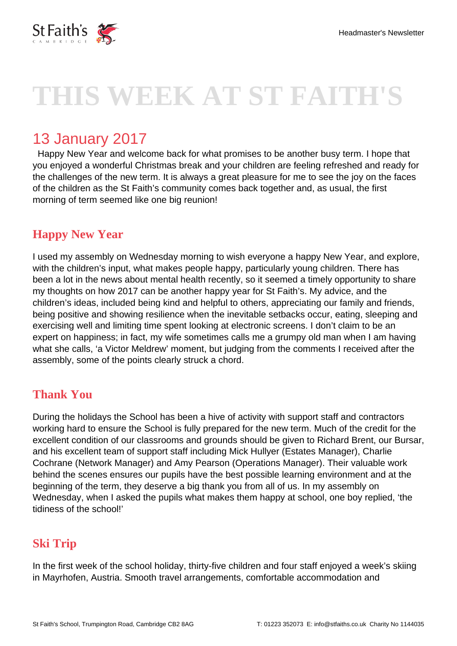

# **THIS WEEK AT ST FAITH'S**

# 13 January 2017

 Happy New Year and welcome back for what promises to be another busy term. I hope that you enjoyed a wonderful Christmas break and your children are feeling refreshed and ready for the challenges of the new term. It is always a great pleasure for me to see the joy on the faces of the children as the St Faith's community comes back together and, as usual, the first morning of term seemed like one big reunion!

# **Happy New Year**

I used my assembly on Wednesday morning to wish everyone a happy New Year, and explore, with the children's input, what makes people happy, particularly young children. There has been a lot in the news about mental health recently, so it seemed a timely opportunity to share my thoughts on how 2017 can be another happy year for St Faith's. My advice, and the children's ideas, included being kind and helpful to others, appreciating our family and friends, being positive and showing resilience when the inevitable setbacks occur, eating, sleeping and exercising well and limiting time spent looking at electronic screens. I don't claim to be an expert on happiness; in fact, my wife sometimes calls me a grumpy old man when I am having what she calls, 'a Victor Meldrew' moment, but judging from the comments I received after the assembly, some of the points clearly struck a chord.

# **Thank You**

During the holidays the School has been a hive of activity with support staff and contractors working hard to ensure the School is fully prepared for the new term. Much of the credit for the excellent condition of our classrooms and grounds should be given to Richard Brent, our Bursar, and his excellent team of support staff including Mick Hullyer (Estates Manager), Charlie Cochrane (Network Manager) and Amy Pearson (Operations Manager). Their valuable work behind the scenes ensures our pupils have the best possible learning environment and at the beginning of the term, they deserve a big thank you from all of us. In my assembly on Wednesday, when I asked the pupils what makes them happy at school, one boy replied, 'the tidiness of the school!'

# **Ski Trip**

In the first week of the school holiday, thirty-five children and four staff enjoyed a week's skiing in Mayrhofen, Austria. Smooth travel arrangements, comfortable accommodation and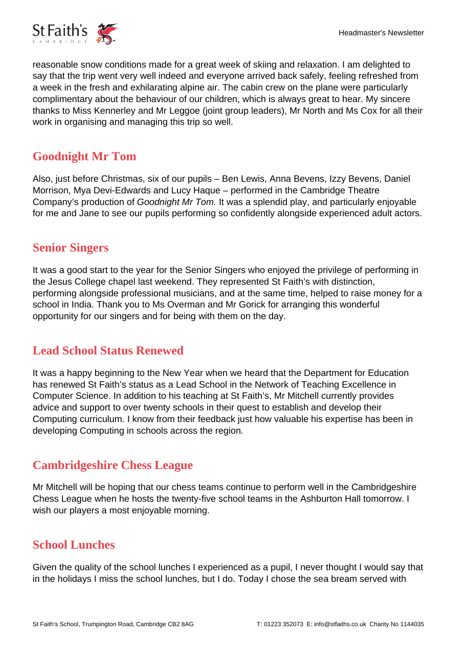reasonable snow conditions made for a great week of skiing and relaxation. I am delighted to say that the trip went very well indeed and everyone arrived back safely, feeling refreshed from a week in the fresh and exhilarating alpine air. The cabin crew on the plane were particularly complimentary about the behaviour of our children, which is always great to hear. My sincere thanks to Miss Kennerley and Mr Leggoe (joint group leaders), Mr North and Ms Cox for all their work in organising and managing this trip so well.

# **Goodnight Mr Tom**

Also, just before Christmas, six of our pupils – Ben Lewis, Anna Bevens, Izzy Bevens, Daniel Morrison, Mya Devi-Edwards and Lucy Haque – performed in the Cambridge Theatre Company's production of Goodnight Mr Tom. It was a splendid play, and particularly enjoyable for me and Jane to see our pupils performing so confidently alongside experienced adult actors.

#### **Senior Singers**

It was a good start to the year for the Senior Singers who enjoyed the privilege of performing in the Jesus College chapel last weekend. They represented St Faith's with distinction, performing alongside professional musicians, and at the same time, helped to raise money for a school in India. Thank you to Ms Overman and Mr Gorick for arranging this wonderful opportunity for our singers and for being with them on the day.

# **Lead School Status Renewed**

It was a happy beginning to the New Year when we heard that the Department for Education has renewed St Faith's status as a Lead School in the Network of Teaching Excellence in Computer Science. In addition to his teaching at St Faith's, Mr Mitchell currently provides advice and support to over twenty schools in their quest to establish and develop their Computing curriculum. I know from their feedback just how valuable his expertise has been in developing Computing in schools across the region.

# **Cambridgeshire Chess League**

Mr Mitchell will be hoping that our chess teams continue to perform well in the Cambridgeshire Chess League when he hosts the twenty-five school teams in the Ashburton Hall tomorrow. I wish our players a most enjoyable morning.

# **School Lunches**

Given the quality of the school lunches I experienced as a pupil, I never thought I would say that in the holidays I miss the school lunches, but I do. Today I chose the sea bream served with